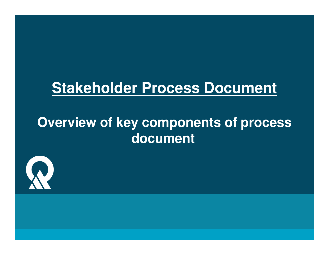### **Stakeholder Process Document**

### **Overview of key components of process document**

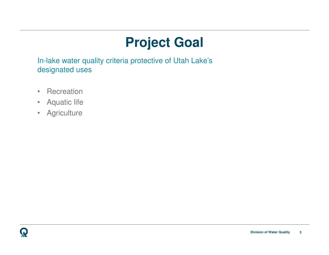## **Project Goal**

In-lake water quality criteria protective of Utah Lake's designated uses

- $\bullet$ **Recreation**
- Aquatic life $\bullet$
- **Agriculture** •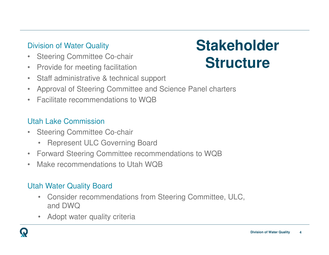### Division of Water Quality

- $\bullet$ Steering Committee Co-chair
- •Provide for meeting facilitation
- $\bullet$ Staff administrative & technical support

#### •Approval of Steering Committee and Science Panel charters

 $\bullet$ Facilitate recommendations to WQB

### Utah Lake Commission

- $\bullet$  Steering Committee Co-chair
	- •Represent ULC Governing Board
- Forward Steering Committee recommendations to WQB $\bullet$
- $\bullet$ Make recommendations to Utah WQB

#### Utah Water Quality Board

- Consider recommendations from Steering Committee, ULC, and DWQ
- Adopt water quality criteria•



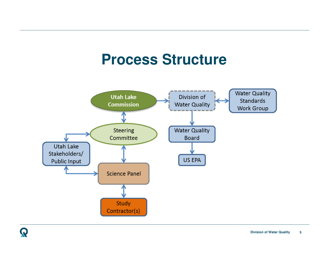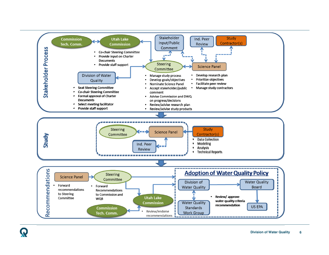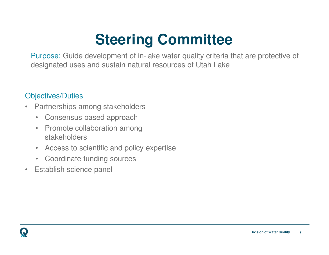Purpose: Guide development of in-lake water quality criteria that are protective of designated uses and sustain natural resources of Utah Lake

### Objectives/Duties

- • Partnerships among stakeholders
	- $\bullet$ Consensus based approach
	- $\bullet$  Promote collaboration among stakeholders
	- $\bullet$ Access to scientific and policy expertise
	- Coordinate funding sources
- $\bullet$ Establish science panel

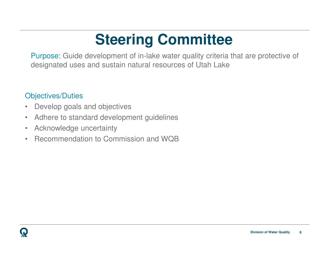Purpose: Guide development of in-lake water quality criteria that are protective of designated uses and sustain natural resources of Utah Lake

### Objectives/Duties

- •Develop goals and objectives
- $\bullet$ Adhere to standard development guidelines
- •Acknowledge uncertainty
- Recommendation to Commission and WQB•

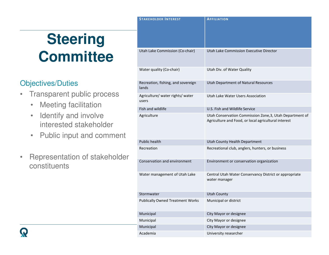### Objectives/Duties

- • Transparent public process
	- •Meeting facilitation
	- Identify and involve interested stakeholder
	- •Public input and comment
- • Representation of stakeholder constituents

| <b>STAKEHOLDER INTEREST</b>                 | <b>AFFILIATION</b>                                                                                               |
|---------------------------------------------|------------------------------------------------------------------------------------------------------------------|
| Utah Lake Commission (Co-chair)             | Utah Lake Commission Executive Director                                                                          |
| Water quality (Co-chair)                    | Utah Div. of Water Quality                                                                                       |
| Recreation, fishing, and sovereign<br>lands | Utah Department of Natural Resources                                                                             |
| Agriculture/ water rights/ water<br>users   | Utah Lake Water Users Association                                                                                |
| Fish and wildlife                           | U.S. Fish and Wildlife Service                                                                                   |
| Agriculture                                 | Utah Conservation Commission Zone, 3, Utah Department of<br>Agriculture and Food, or local agricultural interest |
| <b>Public health</b>                        | Utah County Health Department                                                                                    |
| Recreation                                  | Recreational club, anglers, hunters, or business                                                                 |
| Conservation and environment                | Environment or conservation organization                                                                         |
| Water management of Utah Lake               | Central Utah Water Conservancy District or appropriate<br>water manager                                          |
| Stormwater                                  | <b>Utah County</b>                                                                                               |
| <b>Publically Owned Treatment Works</b>     | Municipal or district                                                                                            |
| Municipal                                   | City Mayor or designee                                                                                           |
| Municipal                                   | City Mayor or designee                                                                                           |
| Municipal                                   | City Mayor or designee                                                                                           |
| Academia                                    | University researcher                                                                                            |
|                                             |                                                                                                                  |

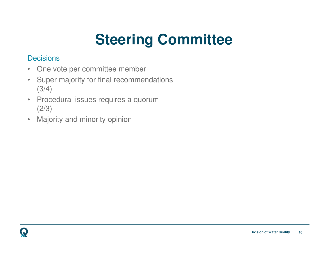#### **Decisions**

- •One vote per committee member
- • Super majority for final recommendations (3/4)
- • Procedural issues requires a quorum (2/3)
- •Majority and minority opinion